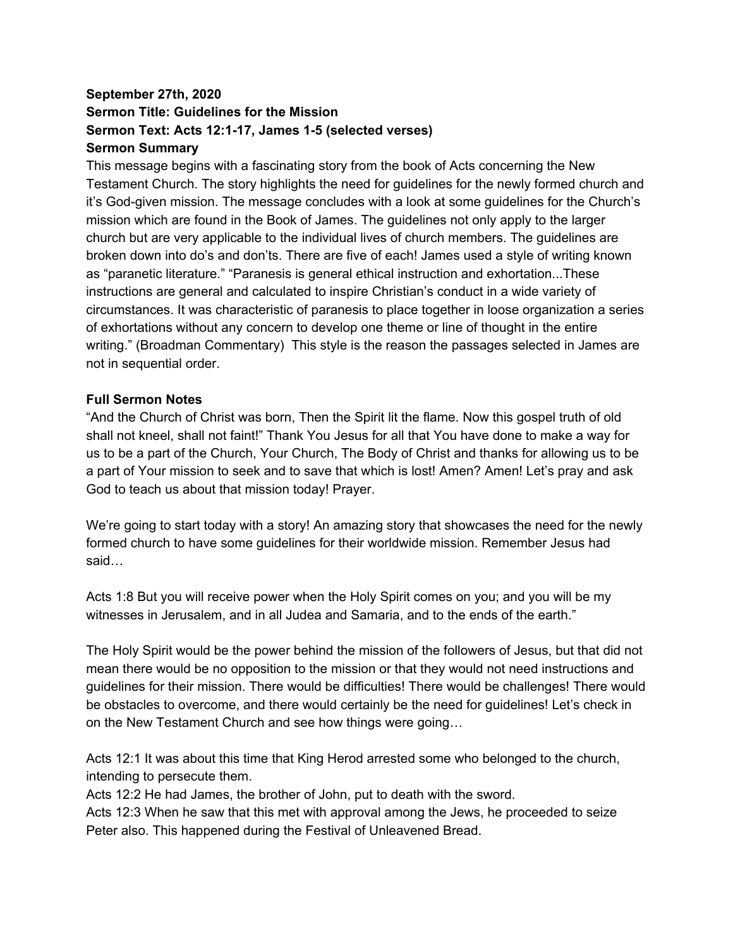## **September 27th, 2020 Sermon Title: Guidelines for the Mission Sermon Text: Acts 12:1-17, James 1-5 (selected verses) Sermon Summary**

This message begins with a fascinating story from the book of Acts concerning the New Testament Church. The story highlights the need for guidelines for the newly formed church and it's God-given mission. The message concludes with a look at some guidelines for the Church's mission which are found in the Book of James. The guidelines not only apply to the larger church but are very applicable to the individual lives of church members. The guidelines are broken down into do's and don'ts. There are five of each! James used a style of writing known as "paranetic literature." "Paranesis is general ethical instruction and exhortation...These instructions are general and calculated to inspire Christian's conduct in a wide variety of circumstances. It was characteristic of paranesis to place together in loose organization a series of exhortations without any concern to develop one theme or line of thought in the entire writing." (Broadman Commentary) This style is the reason the passages selected in James are not in sequential order.

## **Full Sermon Notes**

"And the Church of Christ was born, Then the Spirit lit the flame. Now this gospel truth of old shall not kneel, shall not faint!" Thank You Jesus for all that You have done to make a way for us to be a part of the Church, Your Church, The Body of Christ and thanks for allowing us to be a part of Your mission to seek and to save that which is lost! Amen? Amen! Let's pray and ask God to teach us about that mission today! Prayer.

We're going to start today with a story! An amazing story that showcases the need for the newly formed church to have some guidelines for their worldwide mission. Remember Jesus had said…

Acts 1:8 But you will receive power when the Holy Spirit comes on you; and you will be my witnesses in Jerusalem, and in all Judea and Samaria, and to the ends of the earth."

The Holy Spirit would be the power behind the mission of the followers of Jesus, but that did not mean there would be no opposition to the mission or that they would not need instructions and guidelines for their mission. There would be difficulties! There would be challenges! There would be obstacles to overcome, and there would certainly be the need for guidelines! Let's check in on the New Testament Church and see how things were going…

Acts 12:1 It was about this time that King Herod arrested some who belonged to the church, intending to persecute them.

Acts 12:2 He had James, the brother of John, put to death with the sword.

Acts 12:3 When he saw that this met with approval among the Jews, he proceeded to seize Peter also. This happened during the Festival of Unleavened Bread.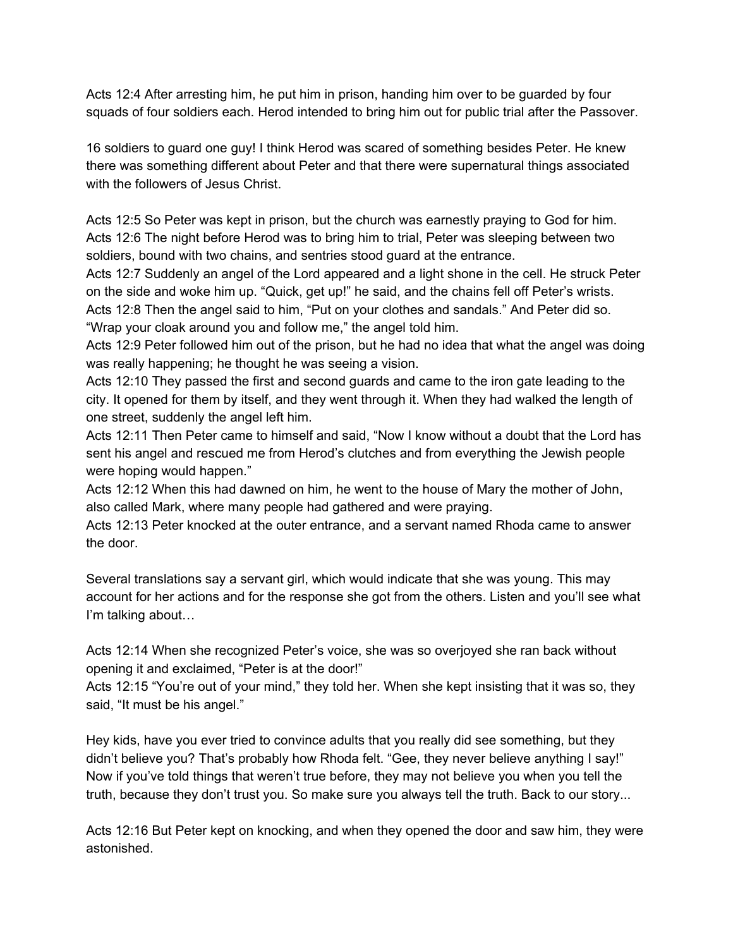Acts 12:4 After arresting him, he put him in prison, handing him over to be guarded by four squads of four soldiers each. Herod intended to bring him out for public trial after the Passover.

16 soldiers to guard one guy! I think Herod was scared of something besides Peter. He knew there was something different about Peter and that there were supernatural things associated with the followers of Jesus Christ.

Acts 12:5 So Peter was kept in prison, but the church was earnestly praying to God for him. Acts 12:6 The night before Herod was to bring him to trial, Peter was sleeping between two soldiers, bound with two chains, and sentries stood guard at the entrance.

Acts 12:7 Suddenly an angel of the Lord appeared and a light shone in the cell. He struck Peter on the side and woke him up. "Quick, get up!" he said, and the chains fell off Peter's wrists. Acts 12:8 Then the angel said to him, "Put on your clothes and sandals." And Peter did so. "Wrap your cloak around you and follow me," the angel told him.

Acts 12:9 Peter followed him out of the prison, but he had no idea that what the angel was doing was really happening; he thought he was seeing a vision.

Acts 12:10 They passed the first and second guards and came to the iron gate leading to the city. It opened for them by itself, and they went through it. When they had walked the length of one street, suddenly the angel left him.

Acts 12:11 Then Peter came to himself and said, "Now I know without a doubt that the Lord has sent his angel and rescued me from Herod's clutches and from everything the Jewish people were hoping would happen."

Acts 12:12 When this had dawned on him, he went to the house of Mary the mother of John, also called Mark, where many people had gathered and were praying.

Acts 12:13 Peter knocked at the outer entrance, and a servant named Rhoda came to answer the door.

Several translations say a servant girl, which would indicate that she was young. This may account for her actions and for the response she got from the others. Listen and you'll see what I'm talking about…

Acts 12:14 When she recognized Peter's voice, she was so overjoyed she ran back without opening it and exclaimed, "Peter is at the door!"

Acts 12:15 "You're out of your mind," they told her. When she kept insisting that it was so, they said, "It must be his angel."

Hey kids, have you ever tried to convince adults that you really did see something, but they didn't believe you? That's probably how Rhoda felt. "Gee, they never believe anything I say!" Now if you've told things that weren't true before, they may not believe you when you tell the truth, because they don't trust you. So make sure you always tell the truth. Back to our story...

Acts 12:16 But Peter kept on knocking, and when they opened the door and saw him, they were astonished.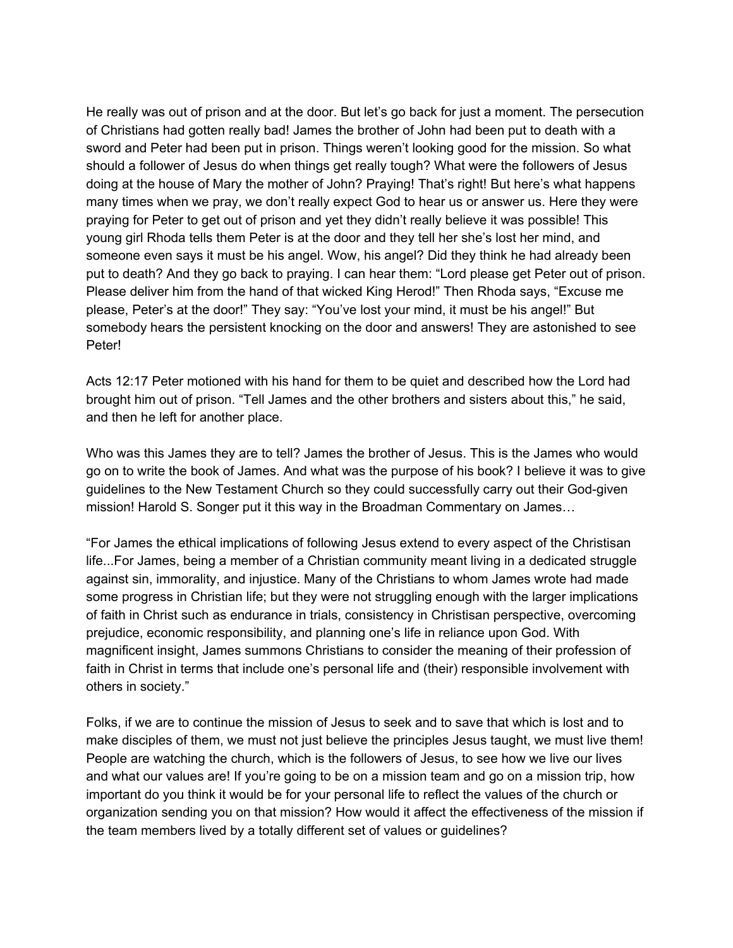He really was out of prison and at the door. But let's go back for just a moment. The persecution of Christians had gotten really bad! James the brother of John had been put to death with a sword and Peter had been put in prison. Things weren't looking good for the mission. So what should a follower of Jesus do when things get really tough? What were the followers of Jesus doing at the house of Mary the mother of John? Praying! That's right! But here's what happens many times when we pray, we don't really expect God to hear us or answer us. Here they were praying for Peter to get out of prison and yet they didn't really believe it was possible! This young girl Rhoda tells them Peter is at the door and they tell her she's lost her mind, and someone even says it must be his angel. Wow, his angel? Did they think he had already been put to death? And they go back to praying. I can hear them: "Lord please get Peter out of prison. Please deliver him from the hand of that wicked King Herod!" Then Rhoda says, "Excuse me please, Peter's at the door!" They say: "You've lost your mind, it must be his angel!" But somebody hears the persistent knocking on the door and answers! They are astonished to see Peter!

Acts 12:17 Peter motioned with his hand for them to be quiet and described how the Lord had brought him out of prison. "Tell James and the other brothers and sisters about this," he said, and then he left for another place.

Who was this James they are to tell? James the brother of Jesus. This is the James who would go on to write the book of James. And what was the purpose of his book? I believe it was to give guidelines to the New Testament Church so they could successfully carry out their God-given mission! Harold S. Songer put it this way in the Broadman Commentary on James…

"For James the ethical implications of following Jesus extend to every aspect of the Christisan life...For James, being a member of a Christian community meant living in a dedicated struggle against sin, immorality, and injustice. Many of the Christians to whom James wrote had made some progress in Christian life; but they were not struggling enough with the larger implications of faith in Christ such as endurance in trials, consistency in Christisan perspective, overcoming prejudice, economic responsibility, and planning one's life in reliance upon God. With magnificent insight, James summons Christians to consider the meaning of their profession of faith in Christ in terms that include one's personal life and (their) responsible involvement with others in society."

Folks, if we are to continue the mission of Jesus to seek and to save that which is lost and to make disciples of them, we must not just believe the principles Jesus taught, we must live them! People are watching the church, which is the followers of Jesus, to see how we live our lives and what our values are! If you're going to be on a mission team and go on a mission trip, how important do you think it would be for your personal life to reflect the values of the church or organization sending you on that mission? How would it affect the effectiveness of the mission if the team members lived by a totally different set of values or guidelines?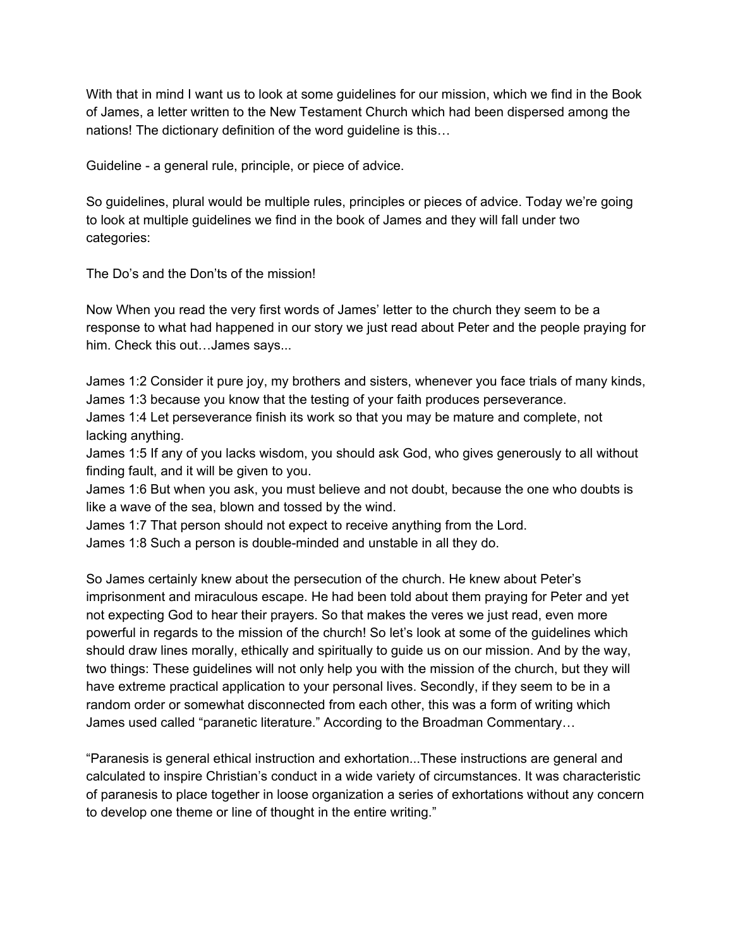With that in mind I want us to look at some guidelines for our mission, which we find in the Book of James, a letter written to the New Testament Church which had been dispersed among the nations! The dictionary definition of the word guideline is this…

Guideline - a general rule, principle, or piece of advice.

So guidelines, plural would be multiple rules, principles or pieces of advice. Today we're going to look at multiple guidelines we find in the book of James and they will fall under two categories:

The Do's and the Don'ts of the mission!

Now When you read the very first words of James' letter to the church they seem to be a response to what had happened in our story we just read about Peter and the people praying for him. Check this out…James says...

James 1:2 Consider it pure joy, my brothers and sisters, whenever you face trials of many kinds, James 1:3 because you know that the testing of your faith produces perseverance.

James 1:4 Let perseverance finish its work so that you may be mature and complete, not lacking anything.

James 1:5 If any of you lacks wisdom, you should ask God, who gives generously to all without finding fault, and it will be given to you.

James 1:6 But when you ask, you must believe and not doubt, because the one who doubts is like a wave of the sea, blown and tossed by the wind.

James 1:7 That person should not expect to receive anything from the Lord.

James 1:8 Such a person is double-minded and unstable in all they do.

So James certainly knew about the persecution of the church. He knew about Peter's imprisonment and miraculous escape. He had been told about them praying for Peter and yet not expecting God to hear their prayers. So that makes the veres we just read, even more powerful in regards to the mission of the church! So let's look at some of the guidelines which should draw lines morally, ethically and spiritually to guide us on our mission. And by the way, two things: These guidelines will not only help you with the mission of the church, but they will have extreme practical application to your personal lives. Secondly, if they seem to be in a random order or somewhat disconnected from each other, this was a form of writing which James used called "paranetic literature." According to the Broadman Commentary…

"Paranesis is general ethical instruction and exhortation...These instructions are general and calculated to inspire Christian's conduct in a wide variety of circumstances. It was characteristic of paranesis to place together in loose organization a series of exhortations without any concern to develop one theme or line of thought in the entire writing."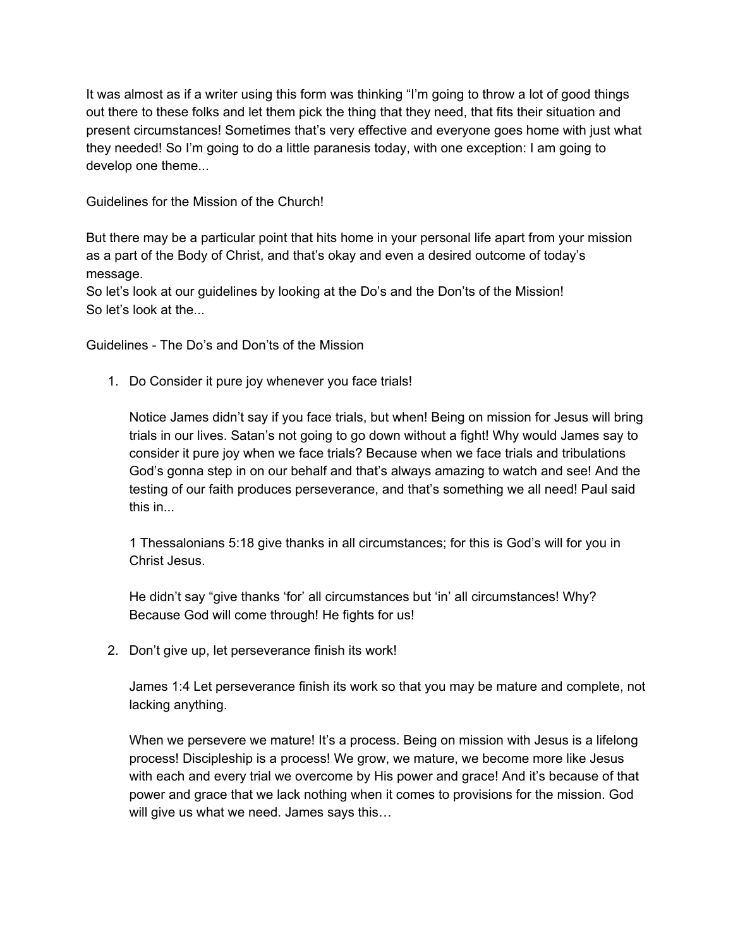It was almost as if a writer using this form was thinking "I'm going to throw a lot of good things out there to these folks and let them pick the thing that they need, that fits their situation and present circumstances! Sometimes that's very effective and everyone goes home with just what they needed! So I'm going to do a little paranesis today, with one exception: I am going to develop one theme...

Guidelines for the Mission of the Church!

But there may be a particular point that hits home in your personal life apart from your mission as a part of the Body of Christ, and that's okay and even a desired outcome of today's message.

So let's look at our guidelines by looking at the Do's and the Don'ts of the Mission! So let's look at the...

Guidelines - The Do's and Don'ts of the Mission

1. Do Consider it pure joy whenever you face trials!

Notice James didn't say if you face trials, but when! Being on mission for Jesus will bring trials in our lives. Satan's not going to go down without a fight! Why would James say to consider it pure joy when we face trials? Because when we face trials and tribulations God's gonna step in on our behalf and that's always amazing to watch and see! And the testing of our faith produces perseverance, and that's something we all need! Paul said this in...

1 Thessalonians 5:18 give thanks in all circumstances; for this is God's will for you in Christ Jesus.

He didn't say "give thanks 'for' all circumstances but 'in' all circumstances! Why? Because God will come through! He fights for us!

2. Don't give up, let perseverance finish its work!

James 1:4 Let perseverance finish its work so that you may be mature and complete, not lacking anything.

When we persevere we mature! It's a process. Being on mission with Jesus is a lifelong process! Discipleship is a process! We grow, we mature, we become more like Jesus with each and every trial we overcome by His power and grace! And it's because of that power and grace that we lack nothing when it comes to provisions for the mission. God will give us what we need. James says this...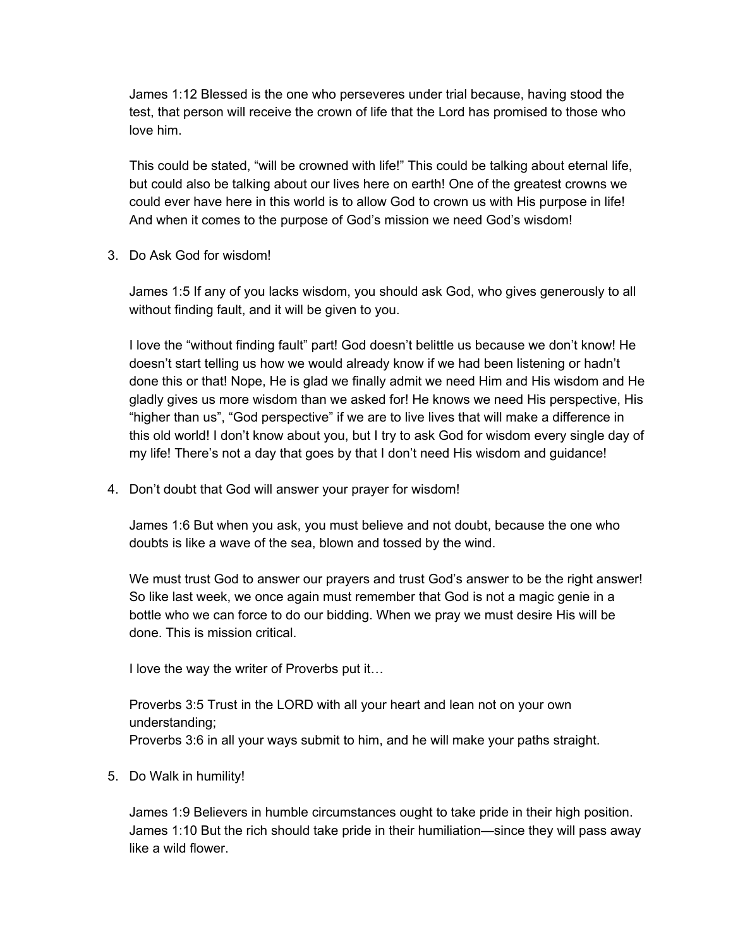James 1:12 Blessed is the one who perseveres under trial because, having stood the test, that person will receive the crown of life that the Lord has promised to those who love him.

This could be stated, "will be crowned with life!" This could be talking about eternal life, but could also be talking about our lives here on earth! One of the greatest crowns we could ever have here in this world is to allow God to crown us with His purpose in life! And when it comes to the purpose of God's mission we need God's wisdom!

3. Do Ask God for wisdom!

James 1:5 If any of you lacks wisdom, you should ask God, who gives generously to all without finding fault, and it will be given to you.

I love the "without finding fault" part! God doesn't belittle us because we don't know! He doesn't start telling us how we would already know if we had been listening or hadn't done this or that! Nope, He is glad we finally admit we need Him and His wisdom and He gladly gives us more wisdom than we asked for! He knows we need His perspective, His "higher than us", "God perspective" if we are to live lives that will make a difference in this old world! I don't know about you, but I try to ask God for wisdom every single day of my life! There's not a day that goes by that I don't need His wisdom and guidance!

4. Don't doubt that God will answer your prayer for wisdom!

James 1:6 But when you ask, you must believe and not doubt, because the one who doubts is like a wave of the sea, blown and tossed by the wind.

We must trust God to answer our prayers and trust God's answer to be the right answer! So like last week, we once again must remember that God is not a magic genie in a bottle who we can force to do our bidding. When we pray we must desire His will be done. This is mission critical.

I love the way the writer of Proverbs put it…

Proverbs 3:5 Trust in the LORD with all your heart and lean not on your own understanding; Proverbs 3:6 in all your ways submit to him, and he will make your paths straight.

5. Do Walk in humility!

James 1:9 Believers in humble circumstances ought to take pride in their high position. James 1:10 But the rich should take pride in their humiliation—since they will pass away like a wild flower.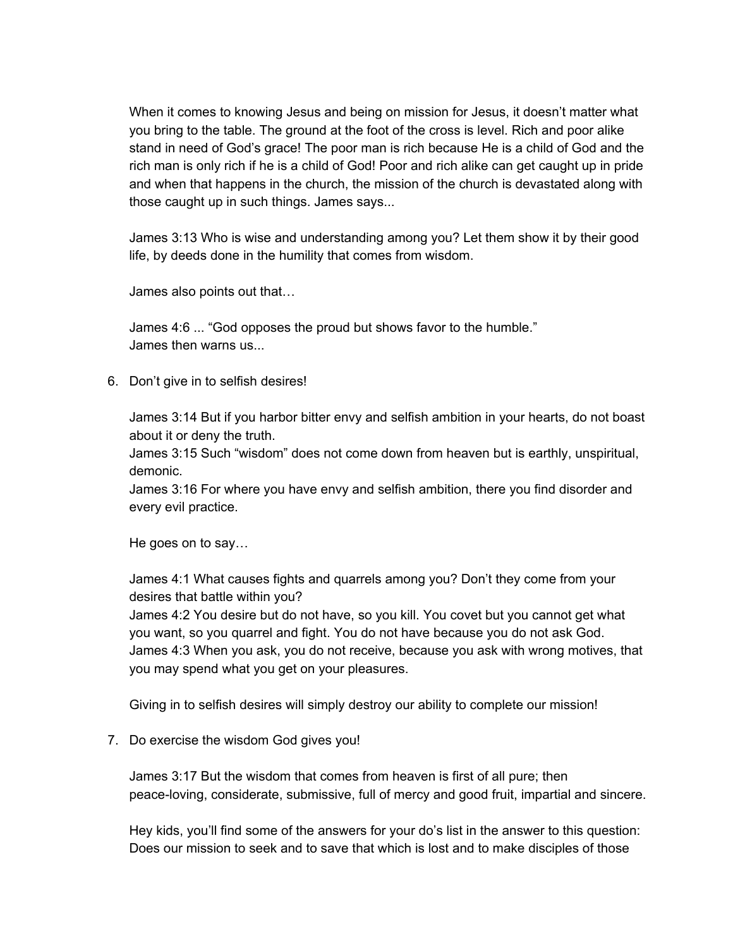When it comes to knowing Jesus and being on mission for Jesus, it doesn't matter what you bring to the table. The ground at the foot of the cross is level. Rich and poor alike stand in need of God's grace! The poor man is rich because He is a child of God and the rich man is only rich if he is a child of God! Poor and rich alike can get caught up in pride and when that happens in the church, the mission of the church is devastated along with those caught up in such things. James says...

James 3:13 Who is wise and understanding among you? Let them show it by their good life, by deeds done in the humility that comes from wisdom.

James also points out that…

James 4:6 ... "God opposes the proud but shows favor to the humble." James then warns us...

6. Don't give in to selfish desires!

James 3:14 But if you harbor bitter envy and selfish ambition in your hearts, do not boast about it or deny the truth.

James 3:15 Such "wisdom" does not come down from heaven but is earthly, unspiritual, demonic.

James 3:16 For where you have envy and selfish ambition, there you find disorder and every evil practice.

He goes on to say…

James 4:1 What causes fights and quarrels among you? Don't they come from your desires that battle within you?

James 4:2 You desire but do not have, so you kill. You covet but you cannot get what you want, so you quarrel and fight. You do not have because you do not ask God. James 4:3 When you ask, you do not receive, because you ask with wrong motives, that you may spend what you get on your pleasures.

Giving in to selfish desires will simply destroy our ability to complete our mission!

7. Do exercise the wisdom God gives you!

James 3:17 But the wisdom that comes from heaven is first of all pure; then peace-loving, considerate, submissive, full of mercy and good fruit, impartial and sincere.

Hey kids, you'll find some of the answers for your do's list in the answer to this question: Does our mission to seek and to save that which is lost and to make disciples of those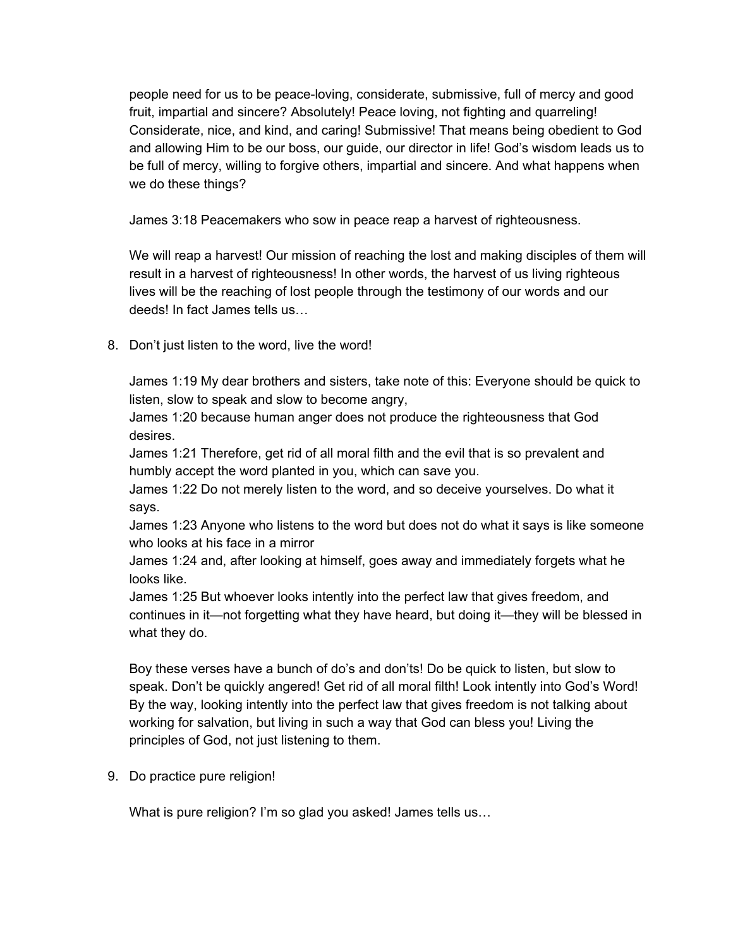people need for us to be peace-loving, considerate, submissive, full of mercy and good fruit, impartial and sincere? Absolutely! Peace loving, not fighting and quarreling! Considerate, nice, and kind, and caring! Submissive! That means being obedient to God and allowing Him to be our boss, our guide, our director in life! God's wisdom leads us to be full of mercy, willing to forgive others, impartial and sincere. And what happens when we do these things?

James 3:18 Peacemakers who sow in peace reap a harvest of righteousness.

We will reap a harvest! Our mission of reaching the lost and making disciples of them will result in a harvest of righteousness! In other words, the harvest of us living righteous lives will be the reaching of lost people through the testimony of our words and our deeds! In fact James tells us…

8. Don't just listen to the word, live the word!

James 1:19 My dear brothers and sisters, take note of this: Everyone should be quick to listen, slow to speak and slow to become angry,

James 1:20 because human anger does not produce the righteousness that God desires.

James 1:21 Therefore, get rid of all moral filth and the evil that is so prevalent and humbly accept the word planted in you, which can save you.

James 1:22 Do not merely listen to the word, and so deceive yourselves. Do what it says.

James 1:23 Anyone who listens to the word but does not do what it says is like someone who looks at his face in a mirror

James 1:24 and, after looking at himself, goes away and immediately forgets what he looks like.

James 1:25 But whoever looks intently into the perfect law that gives freedom, and continues in it—not forgetting what they have heard, but doing it—they will be blessed in what they do.

Boy these verses have a bunch of do's and don'ts! Do be quick to listen, but slow to speak. Don't be quickly angered! Get rid of all moral filth! Look intently into God's Word! By the way, looking intently into the perfect law that gives freedom is not talking about working for salvation, but living in such a way that God can bless you! Living the principles of God, not just listening to them.

9. Do practice pure religion!

What is pure religion? I'm so glad you asked! James tells us...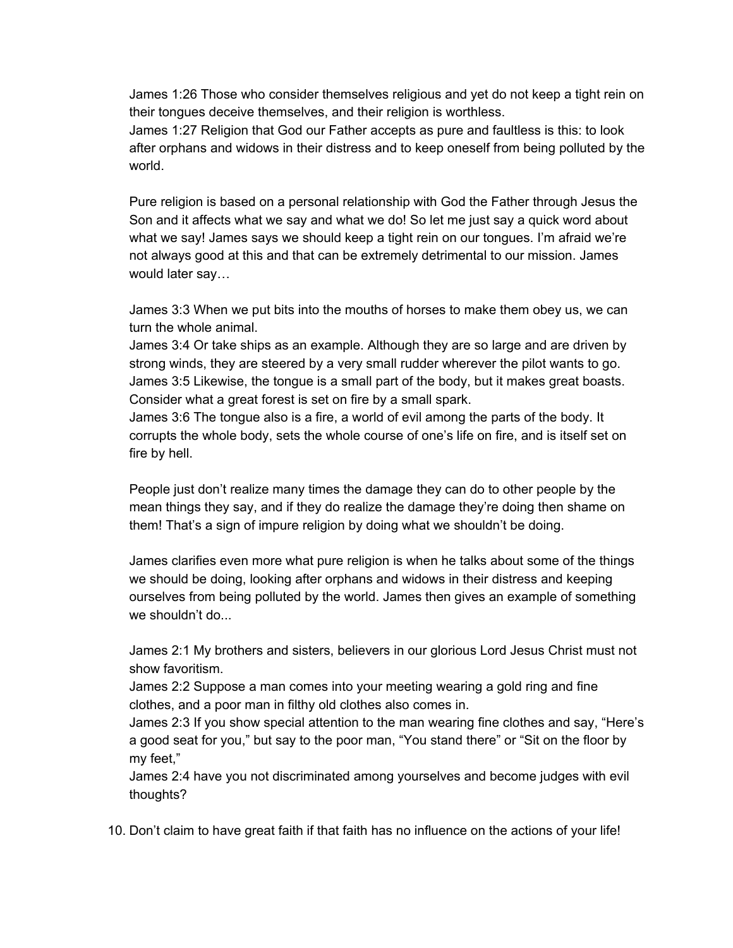James 1:26 Those who consider themselves religious and yet do not keep a tight rein on their tongues deceive themselves, and their religion is worthless.

James 1:27 Religion that God our Father accepts as pure and faultless is this: to look after orphans and widows in their distress and to keep oneself from being polluted by the world.

Pure religion is based on a personal relationship with God the Father through Jesus the Son and it affects what we say and what we do! So let me just say a quick word about what we say! James says we should keep a tight rein on our tongues. I'm afraid we're not always good at this and that can be extremely detrimental to our mission. James would later say…

James 3:3 When we put bits into the mouths of horses to make them obey us, we can turn the whole animal.

James 3:4 Or take ships as an example. Although they are so large and are driven by strong winds, they are steered by a very small rudder wherever the pilot wants to go. James 3:5 Likewise, the tongue is a small part of the body, but it makes great boasts. Consider what a great forest is set on fire by a small spark.

James 3:6 The tongue also is a fire, a world of evil among the parts of the body. It corrupts the whole body, sets the whole course of one's life on fire, and is itself set on fire by hell.

People just don't realize many times the damage they can do to other people by the mean things they say, and if they do realize the damage they're doing then shame on them! That's a sign of impure religion by doing what we shouldn't be doing.

James clarifies even more what pure religion is when he talks about some of the things we should be doing, looking after orphans and widows in their distress and keeping ourselves from being polluted by the world. James then gives an example of something we shouldn't do...

James 2:1 My brothers and sisters, believers in our glorious Lord Jesus Christ must not show favoritism.

James 2:2 Suppose a man comes into your meeting wearing a gold ring and fine clothes, and a poor man in filthy old clothes also comes in.

James 2:3 If you show special attention to the man wearing fine clothes and say, "Here's a good seat for you," but say to the poor man, "You stand there" or "Sit on the floor by my feet,"

James 2:4 have you not discriminated among yourselves and become judges with evil thoughts?

10. Don't claim to have great faith if that faith has no influence on the actions of your life!